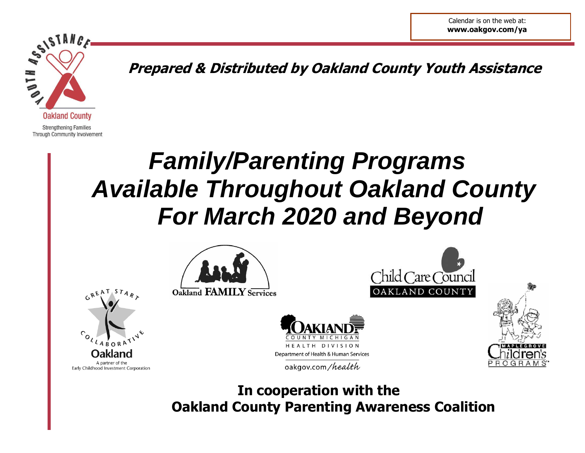

**Prepared & Distributed by Oakland County Youth Assistance**

# *Family/Parenting Programs Available Throughout Oakland County For March 2020 and Beyond*







oakgov.com/health



are Council

OAKLAND COUNTY

**In cooperation with the Oakland County Parenting Awareness Coalition**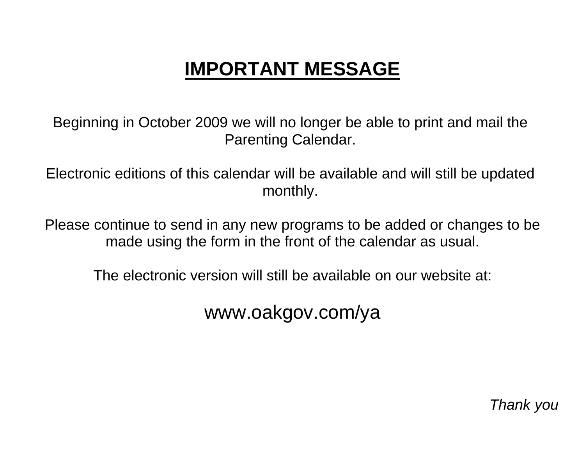## **IMPORTANT MESSAGE**

Beginning in October 2009 we will no longer be able to print and mail the Parenting Calendar.

Electronic editions of this calendar will be available and will still be updated monthly.

Please continue to send in any new programs to be added or changes to be made using the form in the front of the calendar as usual.

The electronic version will still be available on our website at:

www.oakgov.com/ya

*Thank you*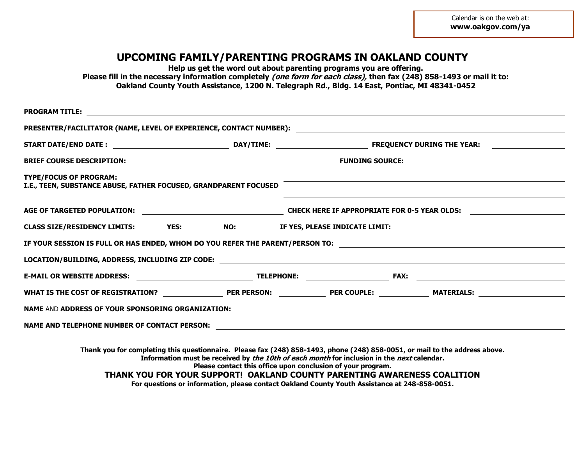#### **UPCOMING FAMILY/PARENTING PROGRAMS IN OAKLAND COUNTY**

**Help us get the word out about parenting programs you are offering.**

**Please fill in the necessary information completely (one form for each class), then fax (248) 858-1493 or mail it to: Oakland County Youth Assistance, 1200 N. Telegraph Rd., Bldg. 14 East, Pontiac, MI 48341-0452**

| I.E., TEEN, SUBSTANCE ABUSE, FATHER FOCUSED, GRANDPARENT FOCUSED<br>,我们也不会有什么。""我们的人,我们也不会有什么?""我们的人,我们也不会有什么?""我们的人,我们也不会有什么?""我们的人,我们也不会有什么?""我们的人<br>CLASS SIZE/RESIDENCY LIMITS: YES: YES: NO: THE YES, PLEASE INDICATE LIMIT: WELLOW ARE AND AND THE PERSON DESCRI<br>LOCATION/BUILDING, ADDRESS, INCLUDING ZIP CODE: _________________________________<br>NAME AND ADDRESS OF YOUR SPONSORING ORGANIZATION: Name of the state of the state of the state of the state of the state of the state of the state of the state of the state of the state of the state of the state of the stat |  |  |
|------------------------------------------------------------------------------------------------------------------------------------------------------------------------------------------------------------------------------------------------------------------------------------------------------------------------------------------------------------------------------------------------------------------------------------------------------------------------------------------------------------------------------------------------------------------------------------------------|--|--|
|                                                                                                                                                                                                                                                                                                                                                                                                                                                                                                                                                                                                |  |  |
|                                                                                                                                                                                                                                                                                                                                                                                                                                                                                                                                                                                                |  |  |
|                                                                                                                                                                                                                                                                                                                                                                                                                                                                                                                                                                                                |  |  |
|                                                                                                                                                                                                                                                                                                                                                                                                                                                                                                                                                                                                |  |  |
|                                                                                                                                                                                                                                                                                                                                                                                                                                                                                                                                                                                                |  |  |
|                                                                                                                                                                                                                                                                                                                                                                                                                                                                                                                                                                                                |  |  |
|                                                                                                                                                                                                                                                                                                                                                                                                                                                                                                                                                                                                |  |  |
|                                                                                                                                                                                                                                                                                                                                                                                                                                                                                                                                                                                                |  |  |
|                                                                                                                                                                                                                                                                                                                                                                                                                                                                                                                                                                                                |  |  |

**Information must be received by the 10th of each month for inclusion in the next calendar. Please contact this office upon conclusion of your program.**

**THANK YOU FOR YOUR SUPPORT! OAKLAND COUNTY PARENTING AWARENESS COALITION** 

**For questions or information, please contact Oakland County Youth Assistance at 248-858-0051.**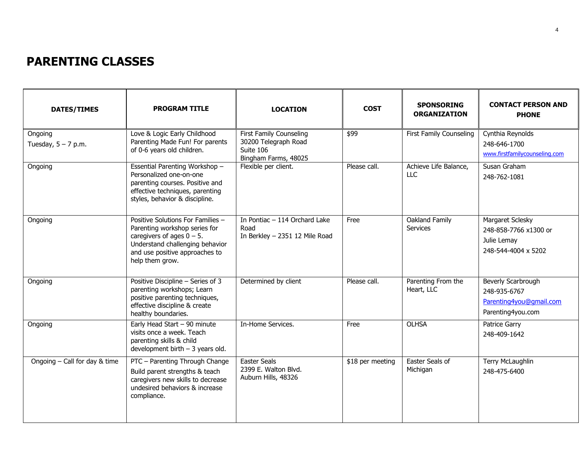#### **PARENTING CLASSES**

| <b>DATES/TIMES</b>               | <b>PROGRAM TITLE</b>                                                                                                                                                                       | <b>LOCATION</b>                                                                             | <b>COST</b>      | <b>SPONSORING</b><br><b>ORGANIZATION</b> | <b>CONTACT PERSON AND</b><br><b>PHONE</b>                                          |
|----------------------------------|--------------------------------------------------------------------------------------------------------------------------------------------------------------------------------------------|---------------------------------------------------------------------------------------------|------------------|------------------------------------------|------------------------------------------------------------------------------------|
| Ongoing<br>Tuesday, $5 - 7$ p.m. | Love & Logic Early Childhood<br>Parenting Made Fun! For parents<br>of 0-6 years old children.                                                                                              | <b>First Family Counseling</b><br>30200 Telegraph Road<br>Suite 106<br>Bingham Farms, 48025 | \$99             | <b>First Family Counseling</b>           | Cynthia Reynolds<br>248-646-1700<br>www.firstfamilycounseling.com                  |
| Ongoing                          | Essential Parenting Workshop -<br>Personalized one-on-one<br>parenting courses. Positive and<br>effective techniques, parenting<br>styles, behavior & discipline.                          | Flexible per client.                                                                        | Please call.     | Achieve Life Balance,<br>LLC             | Susan Graham<br>248-762-1081                                                       |
| Ongoing                          | Positive Solutions For Families -<br>Parenting workshop series for<br>caregivers of ages $0 - 5$ .<br>Understand challenging behavior<br>and use positive approaches to<br>help them grow. | In Pontiac - 114 Orchard Lake<br>Road<br>In Berkley - 2351 12 Mile Road                     | Free             | Oakland Family<br>Services               | Margaret Sclesky<br>248-858-7766 x1300 or<br>Julie Lemay<br>248-544-4004 x 5202    |
| Ongoing                          | Positive Discipline - Series of 3<br>parenting workshops; Learn<br>positive parenting techniques,<br>effective discipline & create<br>healthy boundaries.                                  | Determined by client                                                                        | Please call.     | Parenting From the<br>Heart, LLC         | Beverly Scarbrough<br>248-935-6767<br>Parenting4you@gmail.com<br>Parenting4you.com |
| Ongoing                          | Early Head Start - 90 minute<br>visits once a week. Teach<br>parenting skills & child<br>development birth $-3$ years old.                                                                 | In-Home Services.                                                                           | Free             | <b>OLHSA</b>                             | Patrice Garry<br>248-409-1642                                                      |
| Ongoing - Call for day & time    | PTC - Parenting Through Change<br>Build parent strengths & teach<br>caregivers new skills to decrease<br>undesired behaviors & increase<br>compliance.                                     | <b>Easter Seals</b><br>2399 E. Walton Blvd.<br>Auburn Hills, 48326                          | \$18 per meeting | Easter Seals of<br>Michigan              | <b>Terry McLaughlin</b><br>248-475-6400                                            |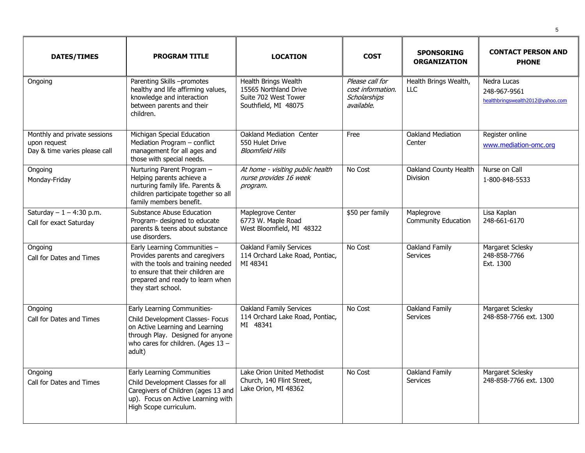| <b>DATES/TIMES</b>                                                            | <b>PROGRAM TITLE</b>                                                                                                                                                                                 | <b>LOCATION</b>                                                                               | <b>COST</b>                                                        | <b>SPONSORING</b><br><b>ORGANIZATION</b> | <b>CONTACT PERSON AND</b><br><b>PHONE</b>                       |
|-------------------------------------------------------------------------------|------------------------------------------------------------------------------------------------------------------------------------------------------------------------------------------------------|-----------------------------------------------------------------------------------------------|--------------------------------------------------------------------|------------------------------------------|-----------------------------------------------------------------|
| Ongoing                                                                       | Parenting Skills -promotes<br>healthy and life affirming values,<br>knowledge and interaction<br>between parents and their<br>children.                                                              | Health Brings Wealth<br>15565 Northland Drive<br>Suite 702 West Tower<br>Southfield, MI 48075 | Please call for<br>cost information.<br>Scholarships<br>available. | Health Brings Wealth,<br>LLC             | Nedra Lucas<br>248-967-9561<br>healthbringswealth2012@yahoo.com |
| Monthly and private sessions<br>upon request<br>Day & time varies please call | Michigan Special Education<br>Mediation Program - conflict<br>management for all ages and<br>those with special needs.                                                                               | Oakland Mediation Center<br>550 Hulet Drive<br><b>Bloomfield Hills</b>                        | Free                                                               | Oakland Mediation<br>Center              | Register online<br>www.mediation-omc.org                        |
| Ongoing<br>Monday-Friday                                                      | Nurturing Parent Program -<br>Helping parents achieve a<br>nurturing family life. Parents &<br>children participate together so all<br>family members benefit.                                       | At home - visiting public health<br>nurse provides 16 week<br>program.                        | No Cost                                                            | Oakland County Health<br><b>Division</b> | Nurse on Call<br>1-800-848-5533                                 |
| Saturday $- 1 - 4:30$ p.m.<br>Call for exact Saturday                         | <b>Substance Abuse Education</b><br>Program- designed to educate<br>parents & teens about substance<br>use disorders.                                                                                | Maplegrove Center<br>6773 W. Maple Road<br>West Bloomfield, MI 48322                          | \$50 per family                                                    | Maplegrove<br><b>Community Education</b> | Lisa Kaplan<br>248-661-6170                                     |
| Ongoing<br>Call for Dates and Times                                           | Early Learning Communities -<br>Provides parents and caregivers<br>with the tools and training needed<br>to ensure that their children are<br>prepared and ready to learn when<br>they start school. | Oakland Family Services<br>114 Orchard Lake Road, Pontiac,<br>MI 48341                        | No Cost                                                            | Oakland Family<br><b>Services</b>        | Margaret Sclesky<br>248-858-7766<br>Ext. 1300                   |
| Ongoing<br>Call for Dates and Times                                           | Early Learning Communities-<br>Child Development Classes- Focus<br>on Active Learning and Learning<br>through Play. Designed for anyone<br>who cares for children. (Ages $13 -$<br>adult)            | <b>Oakland Family Services</b><br>114 Orchard Lake Road, Pontiac,<br>MI 48341                 | No Cost                                                            | Oakland Family<br><b>Services</b>        | Margaret Sclesky<br>248-858-7766 ext. 1300                      |
| Ongoing<br>Call for Dates and Times                                           | <b>Early Learning Communities</b><br>Child Development Classes for all<br>Caregivers of Children (ages 13 and<br>up). Focus on Active Learning with<br>High Scope curriculum.                        | Lake Orion United Methodist<br>Church, 140 Flint Street,<br>Lake Orion, MI 48362              | No Cost                                                            | Oakland Family<br><b>Services</b>        | <b>Margaret Sclesky</b><br>248-858-7766 ext. 1300               |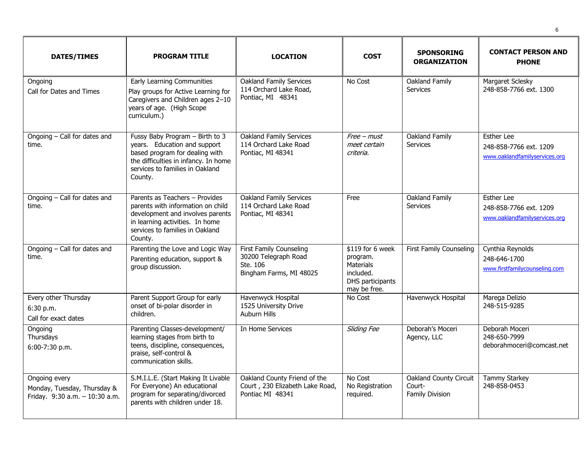| <b>DATES/TIMES</b>                                                             | <b>PROGRAM TITLE</b>                                                                                                                                                                     | <b>LOCATION</b>                                                                               | <b>COST</b>                                                                                | <b>SPONSORING</b><br><b>ORGANIZATION</b>                   | <b>CONTACT PERSON AND</b><br><b>PHONE</b>                                    |
|--------------------------------------------------------------------------------|------------------------------------------------------------------------------------------------------------------------------------------------------------------------------------------|-----------------------------------------------------------------------------------------------|--------------------------------------------------------------------------------------------|------------------------------------------------------------|------------------------------------------------------------------------------|
| Ongoing<br>Call for Dates and Times                                            | Early Learning Communities<br>Play groups for Active Learning for<br>Caregivers and Children ages 2-10<br>years of age. (High Scope<br>curriculum.)                                      | <b>Oakland Family Services</b><br>114 Orchard Lake Road,<br>Pontiac, MI 48341                 | No Cost                                                                                    | Oakland Family<br><b>Services</b>                          | <b>Margaret Sclesky</b><br>248-858-7766 ext. 1300                            |
| Ongoing - Call for dates and<br>time.                                          | Fussy Baby Program - Birth to 3<br>years. Education and support<br>based program for dealing with<br>the difficulties in infancy. In home<br>services to families in Oakland<br>County.  | <b>Oakland Family Services</b><br>114 Orchard Lake Road<br>Pontiac, MI 48341                  | Free - must<br>meet certain<br>criteria.                                                   | Oakland Family<br><b>Services</b>                          | <b>Esther Lee</b><br>248-858-7766 ext. 1209<br>www.oaklandfamilyservices.org |
| Ongoing - Call for dates and<br>time.                                          | Parents as Teachers - Provides<br>parents with information on child<br>development and involves parents<br>in learning activities. In home<br>services to families in Oakland<br>County. | <b>Oakland Family Services</b><br>114 Orchard Lake Road<br>Pontiac, MI 48341                  | Free                                                                                       | Oakland Family<br><b>Services</b>                          | <b>Esther Lee</b><br>248-858-7766 ext. 1209<br>www.oaklandfamilyservices.org |
| Ongoing - Call for dates and<br>time.                                          | Parenting the Love and Logic Way<br>Parenting education, support &<br>group discussion.                                                                                                  | <b>First Family Counseling</b><br>30200 Telegraph Road<br>Ste. 106<br>Bingham Farms, MI 48025 | \$119 for 6 week<br>program.<br>Materials<br>included.<br>DHS participants<br>may be free. | <b>First Family Counseling</b>                             | Cynthia Reynolds<br>248-646-1700<br>www.firstfamilycounseling.com            |
| Every other Thursday<br>6:30 p.m.<br>Call for exact dates                      | Parent Support Group for early<br>onset of bi-polar disorder in<br>children.                                                                                                             | Havenwyck Hospital<br>1525 University Drive<br>Auburn Hills                                   | No Cost                                                                                    | Havenwyck Hospital                                         | Marega Delizio<br>248-515-9285                                               |
| Ongoing<br>Thursdays<br>6:00-7:30 p.m.                                         | Parenting Classes-development/<br>learning stages from birth to<br>teens, discipline, consequences,<br>praise, self-control &<br>communication skills.                                   | In Home Services                                                                              | Sliding Fee                                                                                | Deborah's Moceri<br>Agency, LLC                            | Deborah Moceri<br>248-650-7999<br>deborahmoceri@comcast.net                  |
| Ongoing every<br>Monday, Tuesday, Thursday &<br>Friday. 9:30 a.m. - 10:30 a.m. | S.M.I.L.E. (Start Making It Livable<br>For Everyone) An educational<br>program for separating/divorced<br>parents with children under 18.                                                | Oakland County Friend of the<br>Court, 230 Elizabeth Lake Road,<br>Pontiac MI 48341           | No Cost<br>No Registration<br>required.                                                    | <b>Oakland County Circuit</b><br>Court-<br>Family Division | <b>Tammy Starkey</b><br>248-858-0453                                         |

6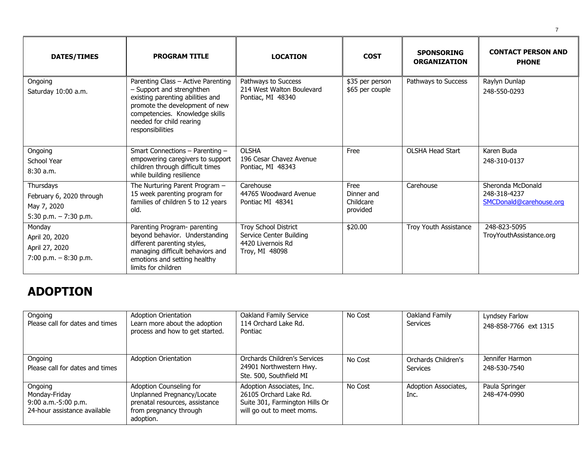| <b>DATES/TIMES</b>                                                              | <b>PROGRAM TITLE</b>                                                                                                                                                                                                    | <b>LOCATION</b>                                                                        | <b>COST</b>                                 | <b>SPONSORING</b><br><b>ORGANIZATION</b> | <b>CONTACT PERSON AND</b><br><b>PHONE</b>                    |
|---------------------------------------------------------------------------------|-------------------------------------------------------------------------------------------------------------------------------------------------------------------------------------------------------------------------|----------------------------------------------------------------------------------------|---------------------------------------------|------------------------------------------|--------------------------------------------------------------|
| Ongoing<br>Saturday 10:00 a.m.                                                  | Parenting Class - Active Parenting<br>- Support and strenghthen<br>existing parenting abilities and<br>promote the development of new<br>competencies. Knowledge skills<br>needed for child rearing<br>responsibilities | Pathways to Success<br>214 West Walton Boulevard<br>Pontiac, MI 48340                  | \$35 per person<br>\$65 per couple          | Pathways to Success                      | Raylyn Dunlap<br>248-550-0293                                |
| Ongoing<br>School Year<br>8:30a.m.                                              | Smart Connections - Parenting -<br>empowering caregivers to support<br>children through difficult times<br>while building resilience                                                                                    | <b>OLSHA</b><br>196 Cesar Chavez Avenue<br>Pontiac, MI 48343                           | Free                                        | <b>OLSHA Head Start</b>                  | Karen Buda<br>248-310-0137                                   |
| Thursdays<br>February 6, 2020 through<br>May 7, 2020<br>5:30 p.m. $- 7:30$ p.m. | The Nurturing Parent Program -<br>15 week parenting program for<br>families of children 5 to 12 years<br>old.                                                                                                           | Carehouse<br>44765 Woodward Avenue<br>Pontiac MI 48341                                 | Free<br>Dinner and<br>Childcare<br>provided | Carehouse                                | Sheronda McDonald<br>248-318-4237<br>SMCDonald@carehouse.org |
| Monday<br>April 20, 2020<br>April 27, 2020<br>7:00 p.m. $-8:30$ p.m.            | Parenting Program- parenting<br>beyond behavior. Understanding<br>different parenting styles,<br>managing difficult behaviors and<br>emotions and setting healthy<br>limits for children                                | Troy School District<br>Service Center Building<br>4420 Livernois Rd<br>Troy, MI 48098 | \$20.00                                     | Troy Youth Assistance                    | 248-823-5095<br>TroyYouthAssistance.org                      |

#### **ADOPTION**

| Ongoing<br>Please call for dates and times                                      | <b>Adoption Orientation</b><br>Learn more about the adoption<br>process and how to get started.                                | Oakland Family Service<br>114 Orchard Lake Rd.<br>Pontiac                                                          | No Cost | Oakland Family<br><b>Services</b> | Lyndsey Farlow<br>248-858-7766 ext 1315 |
|---------------------------------------------------------------------------------|--------------------------------------------------------------------------------------------------------------------------------|--------------------------------------------------------------------------------------------------------------------|---------|-----------------------------------|-----------------------------------------|
| Ongoing<br>Please call for dates and times                                      | <b>Adoption Orientation</b>                                                                                                    | Orchards Children's Services<br>24901 Northwestern Hwy.<br>Ste. 500, Southfield MI                                 | No Cost | Orchards Children's<br>Services   | Jennifer Harmon<br>248-530-7540         |
| Ongoing<br>Monday-Friday<br>9:00 a.m.-5:00 p.m.<br>24-hour assistance available | Adoption Counseling for<br>Unplanned Pregnancy/Locate<br>prenatal resources, assistance<br>from pregnancy through<br>adoption. | Adoption Associates, Inc.<br>26105 Orchard Lake Rd.<br>Suite 301, Farmington Hills Or<br>will go out to meet moms. | No Cost | Adoption Associates,<br>Inc.      | Paula Springer<br>248-474-0990          |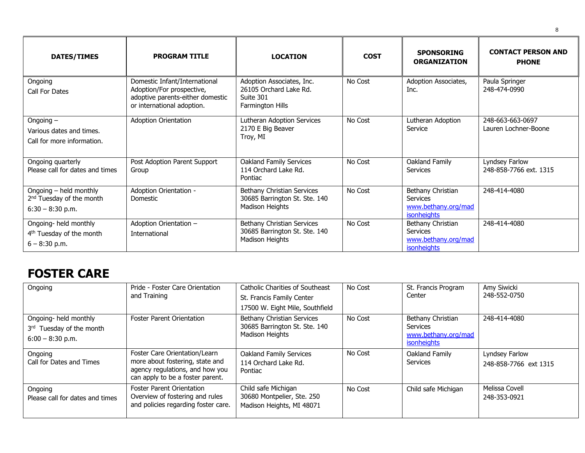| <b>DATES/TIMES</b>                                                                   | <b>PROGRAM TITLE</b>                                                                                                         | <b>LOCATION</b>                                                                       | <b>COST</b> | <b>SPONSORING</b><br><b>ORGANIZATION</b>                                          | <b>CONTACT PERSON AND</b><br><b>PHONE</b> |
|--------------------------------------------------------------------------------------|------------------------------------------------------------------------------------------------------------------------------|---------------------------------------------------------------------------------------|-------------|-----------------------------------------------------------------------------------|-------------------------------------------|
| Ongoing<br>Call For Dates                                                            | Domestic Infant/International<br>Adoption/For prospective,<br>adoptive parents-either domestic<br>or international adoption. | Adoption Associates, Inc.<br>26105 Orchard Lake Rd.<br>Suite 301<br>Farmington Hills  | No Cost     | Adoption Associates,<br>Inc.                                                      | Paula Springer<br>248-474-0990            |
| Ongoing $-$<br>Various dates and times.<br>Call for more information.                | <b>Adoption Orientation</b>                                                                                                  | Lutheran Adoption Services<br>2170 E Big Beaver<br>Troy, MI                           | No Cost     | Lutheran Adoption<br>Service                                                      | 248-663-663-0697<br>Lauren Lochner-Boone  |
| Ongoing quarterly<br>Please call for dates and times                                 | Post Adoption Parent Support<br>Group                                                                                        | <b>Oakland Family Services</b><br>114 Orchard Lake Rd.<br>Pontiac                     | No Cost     | Oakland Family<br><b>Services</b>                                                 | Lyndsey Farlow<br>248-858-7766 ext. 1315  |
| Ongoing - held monthly<br>2 <sup>nd</sup> Tuesday of the month<br>$6:30 - 8:30$ p.m. | Adoption Orientation -<br>Domestic                                                                                           | <b>Bethany Christian Services</b><br>30685 Barrington St. Ste. 140<br>Madison Heights | No Cost     | Bethany Christian<br><b>Services</b><br>www.bethany.org/mad<br>isonheights        | 248-414-4080                              |
| Ongoing- held monthly<br>4 <sup>th</sup> Tuesday of the month<br>$6 - 8:30$ p.m.     | Adoption Orientation -<br>International                                                                                      | Bethany Christian Services<br>30685 Barrington St. Ste. 140<br>Madison Heights        | No Cost     | Bethany Christian<br><b>Services</b><br>www.bethany.org/mad<br><i>isonheights</i> | 248-414-4080                              |

### **FOSTER CARE**

| Ongoing                                                                 | Pride - Foster Care Orientation<br>and Training                                                                                         | <b>Catholic Charities of Southeast</b><br>St. Francis Family Center<br>17500 W. Eight Mile, Southfield | No Cost | St. Francis Program<br>Center                                              | Amy Siwicki<br>248-552-0750             |
|-------------------------------------------------------------------------|-----------------------------------------------------------------------------------------------------------------------------------------|--------------------------------------------------------------------------------------------------------|---------|----------------------------------------------------------------------------|-----------------------------------------|
| Ongoing- held monthly<br>3rd Tuesday of the month<br>$6:00 - 8:30$ p.m. | <b>Foster Parent Orientation</b>                                                                                                        | <b>Bethany Christian Services</b><br>30685 Barrington St. Ste. 140<br>Madison Heights                  | No Cost | Bethany Christian<br><b>Services</b><br>www.bethany.org/mad<br>isonheights | 248-414-4080                            |
| Ongoing<br>Call for Dates and Times                                     | Foster Care Orientation/Learn<br>more about fostering, state and<br>agency regulations, and how you<br>can apply to be a foster parent. | Oakland Family Services<br>114 Orchard Lake Rd.<br>Pontiac                                             | No Cost | Oakland Family<br>Services                                                 | Lyndsey Farlow<br>248-858-7766 ext 1315 |
| Ongoing<br>Please call for dates and times                              | <b>Foster Parent Orientation</b><br>Overview of fostering and rules<br>and policies regarding foster care.                              | Child safe Michigan<br>30680 Montpelier, Ste. 250<br>Madison Heights, MI 48071                         | No Cost | Child safe Michigan                                                        | Melissa Covell<br>248-353-0921          |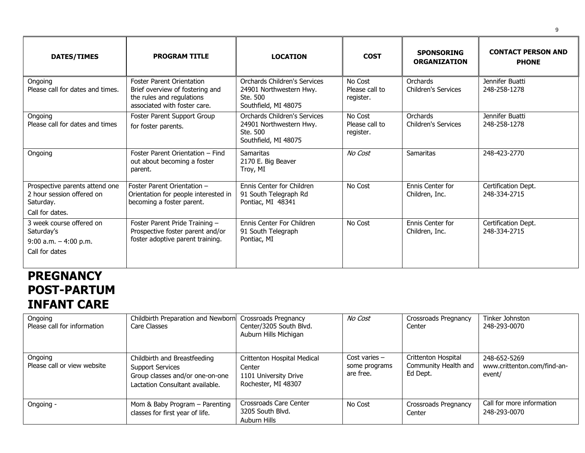| <b>DATES/TIMES</b>                                                                          | <b>PROGRAM TITLE</b>                                                                                                             | <b>LOCATION</b>                                                                             | <b>COST</b>                            | <b>SPONSORING</b><br><b>ORGANIZATION</b>  | <b>CONTACT PERSON AND</b><br><b>PHONE</b> |
|---------------------------------------------------------------------------------------------|----------------------------------------------------------------------------------------------------------------------------------|---------------------------------------------------------------------------------------------|----------------------------------------|-------------------------------------------|-------------------------------------------|
| Ongoing<br>Please call for dates and times.                                                 | <b>Foster Parent Orientation</b><br>Brief overview of fostering and<br>the rules and regulations<br>associated with foster care. | Orchards Children's Services<br>24901 Northwestern Hwy.<br>Ste. 500<br>Southfield, MI 48075 | No Cost<br>Please call to<br>register. | Orchards<br><b>Children's Services</b>    | Jennifer Buatti<br>248-258-1278           |
| Ongoing<br>Please call for dates and times                                                  | Foster Parent Support Group<br>for foster parents.                                                                               | Orchards Children's Services<br>24901 Northwestern Hwy.<br>Ste. 500<br>Southfield, MI 48075 | No Cost<br>Please call to<br>register. | Orchards<br><b>Children's Services</b>    | Jennifer Buatti<br>248-258-1278           |
| Ongoing                                                                                     | Foster Parent Orientation - Find<br>out about becoming a foster<br>parent.                                                       | <b>Samaritas</b><br>2170 E. Big Beaver<br>Troy, MI                                          | No Cost                                | Samaritas                                 | 248-423-2770                              |
| Prospective parents attend one<br>2 hour session offered on<br>Saturday.<br>Call for dates. | Foster Parent Orientation -<br>Orientation for people interested in<br>becoming a foster parent.                                 | Ennis Center for Children<br>91 South Telegraph Rd<br>Pontiac, MI 48341                     | No Cost                                | <b>Ennis Center for</b><br>Children, Inc. | Certification Dept.<br>248-334-2715       |
| 3 week course offered on<br>Saturday's<br>$9:00$ a.m. $-4:00$ p.m.<br>Call for dates        | Foster Parent Pride Training -<br>Prospective foster parent and/or<br>foster adoptive parent training.                           | Ennis Center For Children<br>91 South Telegraph<br>Pontiac, MI                              | No Cost                                | Ennis Center for<br>Children, Inc.        | Certification Dept.<br>248-334-2715       |

#### **PREGNANCY POST-PARTUM INFANT CARE**

| Ongoing<br>Please call for information | Childbirth Preparation and Newborn<br>Care Classes                                                                            | <b>Crossroads Pregnancy</b><br>Center/3205 South Blvd.<br>Auburn Hills Michigan       | No Cost                                       | Crossroads Pregnancy<br>Center                          | Tinker Johnston<br>248-293-0070                       |
|----------------------------------------|-------------------------------------------------------------------------------------------------------------------------------|---------------------------------------------------------------------------------------|-----------------------------------------------|---------------------------------------------------------|-------------------------------------------------------|
| Ongoing<br>Please call or view website | Childbirth and Breastfeeding<br><b>Support Services</b><br>Group classes and/or one-on-one<br>Lactation Consultant available. | Crittenton Hospital Medical<br>Center<br>1101 University Drive<br>Rochester, MI 48307 | Cost varies $-$<br>some programs<br>are free. | Crittenton Hospital<br>Community Health and<br>Ed Dept. | 248-652-5269<br>www.crittenton.com/find-an-<br>event/ |
| Ongoing -                              | Mom & Baby Program - Parenting<br>classes for first year of life.                                                             | Crossroads Care Center<br>3205 South Blvd.<br>Auburn Hills                            | No Cost                                       | Crossroads Pregnancy<br>Center                          | Call for more information<br>248-293-0070             |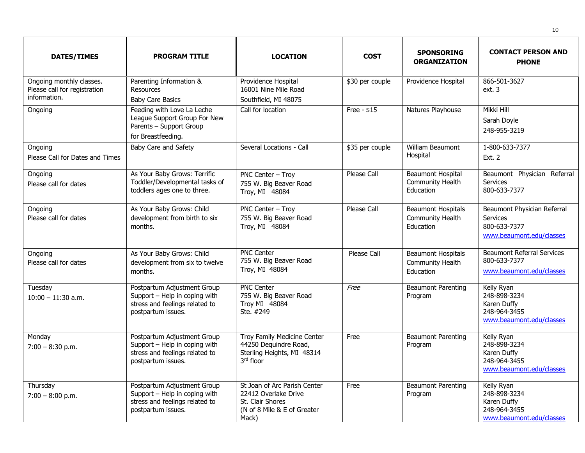| <b>DATES/TIMES</b>                                                       | <b>PROGRAM TITLE</b>                                                                                                 | <b>LOCATION</b>                                                                                                  | <b>COST</b>     | <b>SPONSORING</b><br><b>ORGANIZATION</b>                   | <b>CONTACT PERSON AND</b><br><b>PHONE</b>                                                  |
|--------------------------------------------------------------------------|----------------------------------------------------------------------------------------------------------------------|------------------------------------------------------------------------------------------------------------------|-----------------|------------------------------------------------------------|--------------------------------------------------------------------------------------------|
| Ongoing monthly classes.<br>Please call for registration<br>information. | Parenting Information &<br><b>Resources</b><br><b>Baby Care Basics</b>                                               | Providence Hospital<br>16001 Nine Mile Road<br>Southfield, MI 48075                                              | \$30 per couple | Providence Hospital                                        | 866-501-3627<br>ext. 3                                                                     |
| Ongoing                                                                  | Feeding with Love La Leche<br>League Support Group For New<br>Parents - Support Group<br>for Breastfeeding.          | Call for location                                                                                                | Free $-$ \$15   | Natures Playhouse                                          | <b>Mikki Hill</b><br>Sarah Doyle<br>248-955-3219                                           |
| Ongoing<br>Please Call for Dates and Times                               | <b>Baby Care and Safety</b>                                                                                          | Several Locations - Call                                                                                         | \$35 per couple | William Beaumont<br>Hospital                               | 1-800-633-7377<br><b>Ext. 2</b>                                                            |
| Ongoing<br>Please call for dates                                         | As Your Baby Grows: Terrific<br>Toddler/Developmental tasks of<br>toddlers ages one to three.                        | PNC Center - Troy<br>755 W. Big Beaver Road<br>Troy, MI 48084                                                    | Please Call     | <b>Beaumont Hospital</b><br>Community Health<br>Education  | Beaumont Physician Referral<br>Services<br>800-633-7377                                    |
| Ongoing<br>Please call for dates                                         | As Your Baby Grows: Child<br>development from birth to six<br>months.                                                | PNC Center - Troy<br>755 W. Big Beaver Road<br>Troy, MI 48084                                                    | Please Call     | <b>Beaumont Hospitals</b><br>Community Health<br>Education | Beaumont Physician Referral<br><b>Services</b><br>800-633-7377<br>www.beaumont.edu/classes |
| Ongoing<br>Please call for dates                                         | As Your Baby Grows: Child<br>development from six to twelve<br>months.                                               | <b>PNC Center</b><br>755 W. Big Beaver Road<br>Troy, MI 48084                                                    | Please Call     | <b>Beaumont Hospitals</b><br>Community Health<br>Education | <b>Beaumont Referral Services</b><br>800-633-7377<br>www.beaumont.edu/classes              |
| Tuesday<br>$10:00 - 11:30$ a.m.                                          | Postpartum Adjustment Group<br>Support - Help in coping with<br>stress and feelings related to<br>postpartum issues. | <b>PNC Center</b><br>755 W. Big Beaver Road<br>Troy MI 48084<br>Ste. #249                                        | Free            | <b>Beaumont Parenting</b><br>Program                       | Kelly Ryan<br>248-898-3234<br>Karen Duffy<br>248-964-3455<br>www.beaumont.edu/classes      |
| Monday<br>$7:00 - 8:30$ p.m.                                             | Postpartum Adjustment Group<br>Support - Help in coping with<br>stress and feelings related to<br>postpartum issues. | Troy Family Medicine Center<br>44250 Dequindre Road,<br>Sterling Heights, MI 48314<br>3rd floor                  | Free            | <b>Beaumont Parenting</b><br>Program                       | Kelly Ryan<br>248-898-3234<br>Karen Duffy<br>248-964-3455<br>www.beaumont.edu/classes      |
| Thursday<br>$7:00 - 8:00$ p.m.                                           | Postpartum Adjustment Group<br>Support - Help in coping with<br>stress and feelings related to<br>postpartum issues. | St Joan of Arc Parish Center<br>22412 Overlake Drive<br>St. Clair Shores<br>(N of 8 Mile & E of Greater<br>Mack) | Free            | <b>Beaumont Parenting</b><br>Program                       | Kelly Ryan<br>248-898-3234<br>Karen Duffy<br>248-964-3455<br>www.beaumont.edu/classes      |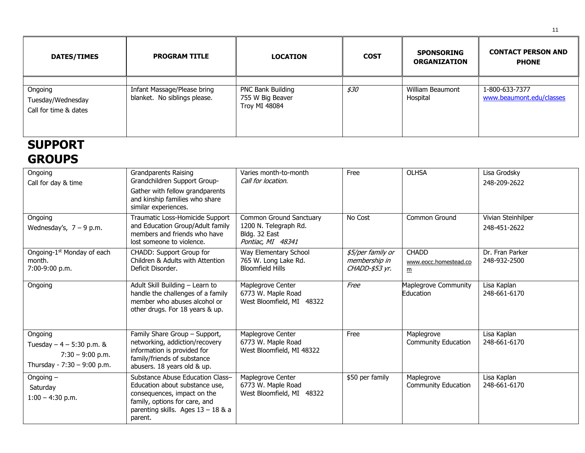| <b>DATES/TIMES</b>                                    | <b>PROGRAM TITLE</b>                                        | <b>LOCATION</b>                                               | <b>COST</b> | <b>SPONSORING</b><br><b>ORGANIZATION</b> | <b>CONTACT PERSON AND</b><br><b>PHONE</b>  |
|-------------------------------------------------------|-------------------------------------------------------------|---------------------------------------------------------------|-------------|------------------------------------------|--------------------------------------------|
| Ongoing<br>Tuesday/Wednesday<br>Call for time & dates | Infant Massage/Please bring<br>blanket. No siblings please. | PNC Bank Building<br>755 W Big Beaver<br><b>Troy MI 48084</b> | \$30        | William Beaumont<br>Hospital             | 1-800-633-7377<br>www.beaumont.edu/classes |

#### **SUPPORT GROUPS**

| Ongoing<br>Call for day & time                                                             | Grandparents Raising<br>Grandchildren Support Group-<br>Gather with fellow grandparents<br>and kinship families who share<br>similar experiences.                                     | Varies month-to-month<br>Call for location.                                            | Free                                                 | <b>OLHSA</b>                                             | Lisa Grodsky<br>248-209-2622       |
|--------------------------------------------------------------------------------------------|---------------------------------------------------------------------------------------------------------------------------------------------------------------------------------------|----------------------------------------------------------------------------------------|------------------------------------------------------|----------------------------------------------------------|------------------------------------|
| Ongoing<br>Wednesday's, $7 - 9$ p.m.                                                       | Traumatic Loss-Homicide Support<br>and Education Group/Adult family<br>members and friends who have<br>lost someone to violence.                                                      | Common Ground Sanctuary<br>1200 N. Telegraph Rd.<br>Bldg. 32 East<br>Pontiac, MI 48341 | No Cost                                              | Common Ground                                            | Vivian Steinhilper<br>248-451-2622 |
| Ongoing-1 <sup>st</sup> Monday of each<br>month.<br>7:00-9:00 p.m.                         | CHADD: Support Group for<br>Children & Adults with Attention<br>Deficit Disorder.                                                                                                     | Way Elementary School<br>765 W. Long Lake Rd.<br><b>Bloomfield Hills</b>               | \$5/per family or<br>membership in<br>CHADD-\$53 yr. | <b>CHADD</b><br>www.eocc.homestead.co<br>$\underline{m}$ | Dr. Fran Parker<br>248-932-2500    |
| Ongoing                                                                                    | Adult Skill Building - Learn to<br>handle the challenges of a family<br>member who abuses alcohol or<br>other drugs. For 18 years & up.                                               | Maplegrove Center<br>6773 W. Maple Road<br>West Bloomfield, MI 48322                   | Free                                                 | Maplegrove Community<br>Education                        | Lisa Kaplan<br>248-661-6170        |
| Ongoing<br>Tuesday $-4 - 5:30$ p.m. &<br>$7:30 - 9:00$ p.m.<br>Thursday - 7:30 - 9:00 p.m. | Family Share Group - Support,<br>networking, addiction/recovery<br>information is provided for<br>family/friends of substance<br>abusers. 18 years old & up.                          | Maplegrove Center<br>6773 W. Maple Road<br>West Bloomfield, MI 48322                   | Free                                                 | Maplegrove<br><b>Community Education</b>                 | Lisa Kaplan<br>248-661-6170        |
| Ongoing $-$<br>Saturday<br>$1:00 - 4:30$ p.m.                                              | Substance Abuse Education Class-<br>Education about substance use,<br>consequences, impact on the<br>family, options for care, and<br>parenting skills. Ages $13 - 18$ & a<br>parent. | Maplegrove Center<br>6773 W. Maple Road<br>West Bloomfield, MI 48322                   | \$50 per family                                      | Maplegrove<br><b>Community Education</b>                 | Lisa Kaplan<br>248-661-6170        |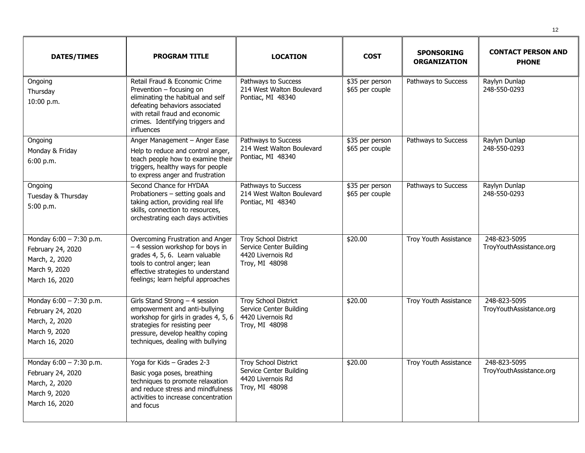| <b>DATES/TIMES</b>                                                                                  | <b>PROGRAM TITLE</b>                                                                                                                                                                                                 | <b>LOCATION</b>                                                                               | <b>COST</b>                        | <b>SPONSORING</b><br><b>ORGANIZATION</b> | <b>CONTACT PERSON AND</b><br><b>PHONE</b> |
|-----------------------------------------------------------------------------------------------------|----------------------------------------------------------------------------------------------------------------------------------------------------------------------------------------------------------------------|-----------------------------------------------------------------------------------------------|------------------------------------|------------------------------------------|-------------------------------------------|
| Ongoing<br>Thursday<br>10:00 p.m.                                                                   | Retail Fraud & Economic Crime<br>Prevention - focusing on<br>eliminating the habitual and self<br>defeating behaviors associated<br>with retail fraud and economic<br>crimes. Identifying triggers and<br>influences | Pathways to Success<br>214 West Walton Boulevard<br>Pontiac, MI 48340                         | \$35 per person<br>\$65 per couple | Pathways to Success                      | Raylyn Dunlap<br>248-550-0293             |
| Ongoing<br>Monday & Friday<br>6:00 p.m.                                                             | Anger Management - Anger Ease<br>Help to reduce and control anger,<br>teach people how to examine their<br>triggers, healthy ways for people<br>to express anger and frustration                                     | Pathways to Success<br>214 West Walton Boulevard<br>Pontiac, MI 48340                         | \$35 per person<br>\$65 per couple | Pathways to Success                      | Raylyn Dunlap<br>248-550-0293             |
| Ongoing<br>Tuesday & Thursday<br>5:00 p.m.                                                          | Second Chance for HYDAA<br>Probationers - setting goals and<br>taking action, providing real life<br>skills, connection to resources,<br>orchestrating each days activities                                          | Pathways to Success<br>214 West Walton Boulevard<br>Pontiac, MI 48340                         | \$35 per person<br>\$65 per couple | Pathways to Success                      | Raylyn Dunlap<br>248-550-0293             |
| Monday 6:00 - 7:30 p.m.<br>February 24, 2020<br>March, 2, 2020<br>March 9, 2020<br>March 16, 2020   | Overcoming Frustration and Anger<br>- 4 session workshop for boys in<br>grades 4, 5, 6. Learn valuable<br>tools to control anger; lean<br>effective strategies to understand<br>feelings; learn helpful approaches   | <b>Troy School District</b><br>Service Center Building<br>4420 Livernois Rd<br>Troy, MI 48098 | \$20.00                            | <b>Troy Youth Assistance</b>             | 248-823-5095<br>TroyYouthAssistance.org   |
| Monday $6:00 - 7:30$ p.m.<br>February 24, 2020<br>March, 2, 2020<br>March 9, 2020<br>March 16, 2020 | Girls Stand Strong $-4$ session<br>empowerment and anti-bullying<br>workshop for girls in grades 4, 5, 6<br>strategies for resisting peer<br>pressure, develop healthy coping<br>techniques, dealing with bullying   | <b>Troy School District</b><br>Service Center Building<br>4420 Livernois Rd<br>Troy, MI 48098 | \$20.00                            | <b>Troy Youth Assistance</b>             | 248-823-5095<br>TroyYouthAssistance.org   |
| Monday 6:00 - 7:30 p.m.<br>February 24, 2020<br>March, 2, 2020<br>March 9, 2020<br>March 16, 2020   | Yoga for Kids - Grades 2-3<br>Basic yoga poses, breathing<br>techniques to promote relaxation<br>and reduce stress and mindfulness<br>activities to increase concentration<br>and focus                              | Troy School District<br>Service Center Building<br>4420 Livernois Rd<br>Troy, MI 48098        | \$20.00                            | Troy Youth Assistance                    | 248-823-5095<br>TroyYouthAssistance.org   |

12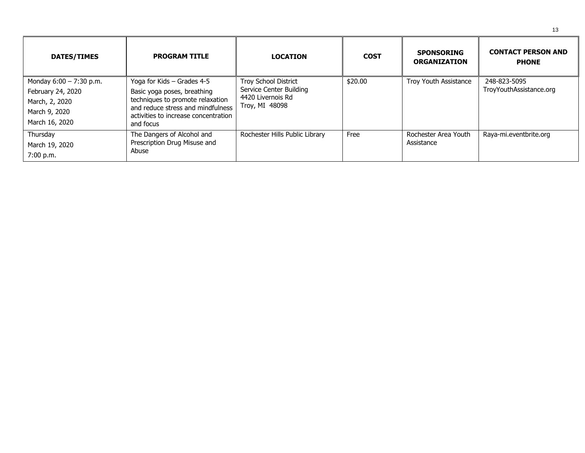| <b>DATES/TIMES</b>                                                                                  | <b>PROGRAM TITLE</b>                                                                                                                                                                    | <b>LOCATION</b>                                                                        | <b>COST</b> | <b>SPONSORING</b><br><b>ORGANIZATION</b> | <b>CONTACT PERSON AND</b><br><b>PHONE</b> |
|-----------------------------------------------------------------------------------------------------|-----------------------------------------------------------------------------------------------------------------------------------------------------------------------------------------|----------------------------------------------------------------------------------------|-------------|------------------------------------------|-------------------------------------------|
| Monday $6:00 - 7:30$ p.m.<br>February 24, 2020<br>March, 2, 2020<br>March 9, 2020<br>March 16, 2020 | Yoga for Kids - Grades 4-5<br>Basic yoga poses, breathing<br>techniques to promote relaxation<br>and reduce stress and mindfulness<br>activities to increase concentration<br>and focus | Troy School District<br>Service Center Building<br>4420 Livernois Rd<br>Troy, MI 48098 | \$20.00     | Troy Youth Assistance                    | 248-823-5095<br>TroyYouthAssistance.org   |
| Thursday<br>March 19, 2020<br>7:00 p.m.                                                             | The Dangers of Alcohol and<br>Prescription Drug Misuse and<br>Abuse                                                                                                                     | Rochester Hills Public Library                                                         | Free        | Rochester Area Youth<br>Assistance       | Raya-mi.eventbrite.org                    |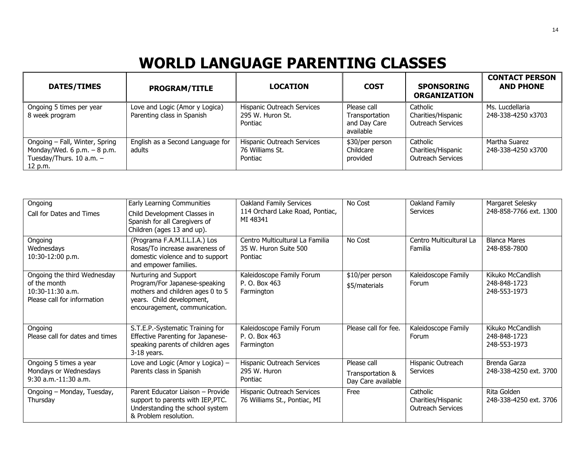## **WORLD LANGUAGE PARENTING CLASSES**

| <b>DATES/TIMES</b>                                                                                         | <b>PROGRAM/TITLE</b>                                         | <b>LOCATION</b>                                           | <b>COST</b>                                                | <b>SPONSORING</b><br><b>ORGANIZATION</b>                   | <b>CONTACT PERSON</b><br><b>AND PHONE</b> |
|------------------------------------------------------------------------------------------------------------|--------------------------------------------------------------|-----------------------------------------------------------|------------------------------------------------------------|------------------------------------------------------------|-------------------------------------------|
| Ongoing 5 times per year<br>8 week program                                                                 | Love and Logic (Amor y Logica)<br>Parenting class in Spanish | Hispanic Outreach Services<br>295 W. Huron St.<br>Pontiac | Please call<br>Transportation<br>and Day Care<br>available | Catholic<br>Charities/Hispanic<br><b>Outreach Services</b> | Ms. Lucdellaria<br>248-338-4250 x3703     |
| Ongoing - Fall, Winter, Spring<br>Monday/Wed. $6 p.m. - 8 p.m.$<br>Tuesday/Thurs. $10$ a.m. $-$<br>12 p.m. | English as a Second Language for<br>adults                   | Hispanic Outreach Services<br>76 Williams St.<br>Pontiac  | \$30/per person<br>Childcare<br>provided                   | Catholic<br>Charities/Hispanic<br><b>Outreach Services</b> | Martha Suarez<br>248-338-4250 x3700       |

| Ongoing<br>Call for Dates and Times                                                              | Early Learning Communities<br>Child Development Classes in<br>Spanish for all Caregivers of<br>Children (ages 13 and up).                                | Oakland Family Services<br>114 Orchard Lake Road, Pontiac,<br>MI 48341 | No Cost                                               | Oakland Family<br>Services                                 | Margaret Selesky<br>248-858-7766 ext. 1300        |
|--------------------------------------------------------------------------------------------------|----------------------------------------------------------------------------------------------------------------------------------------------------------|------------------------------------------------------------------------|-------------------------------------------------------|------------------------------------------------------------|---------------------------------------------------|
| Ongoing<br>Wednesdays<br>10:30-12:00 p.m.                                                        | (Programa F.A.M.I.L.I.A.) Los<br>Rosas/To increase awareness of<br>domestic violence and to support<br>and empower families.                             | Centro Multicultural La Familia<br>35 W. Huron Suite 500<br>Pontiac    | No Cost                                               | Centro Multicultural La<br>Familia                         | <b>Blanca Mares</b><br>248-858-7800               |
| Ongoing the third Wednesday<br>of the month<br>$10:30-11:30$ a.m.<br>Please call for information | Nurturing and Support<br>Program/For Japanese-speaking<br>mothers and children ages 0 to 5<br>years. Child development,<br>encouragement, communication. | Kaleidoscope Family Forum<br>P. O. Box 463<br>Farmington               | \$10/per person<br>\$5/materials                      | Kaleidoscope Family<br>Forum                               | Kikuko McCandlish<br>248-848-1723<br>248-553-1973 |
| Ongoing<br>Please call for dates and times                                                       | S.T.E.P.-Systematic Training for<br>Effective Parenting for Japanese-<br>speaking parents of children ages<br>$3-18$ years.                              | Kaleidoscope Family Forum<br>P. O. Box 463<br>Farmington               | Please call for fee.                                  | Kaleidoscope Family<br>Forum                               | Kikuko McCandlish<br>248-848-1723<br>248-553-1973 |
| Ongoing 5 times a year<br>Mondays or Wednesdays<br>9:30 a.m.-11:30 a.m.                          | Love and Logic (Amor y Logica) -<br>Parents class in Spanish                                                                                             | Hispanic Outreach Services<br>295 W. Huron<br>Pontiac                  | Please call<br>Transportation &<br>Day Care available | Hispanic Outreach<br>Services                              | Brenda Garza<br>248-338-4250 ext. 3700            |
| Ongoing - Monday, Tuesday,<br>Thursday                                                           | Parent Educator Liaison - Provide<br>support to parents with IEP, PTC.<br>Understanding the school system<br>& Problem resolution.                       | Hispanic Outreach Services<br>76 Williams St., Pontiac, MI             | Free                                                  | Catholic<br>Charities/Hispanic<br><b>Outreach Services</b> | Rita Golden<br>248-338-4250 ext. 3706             |